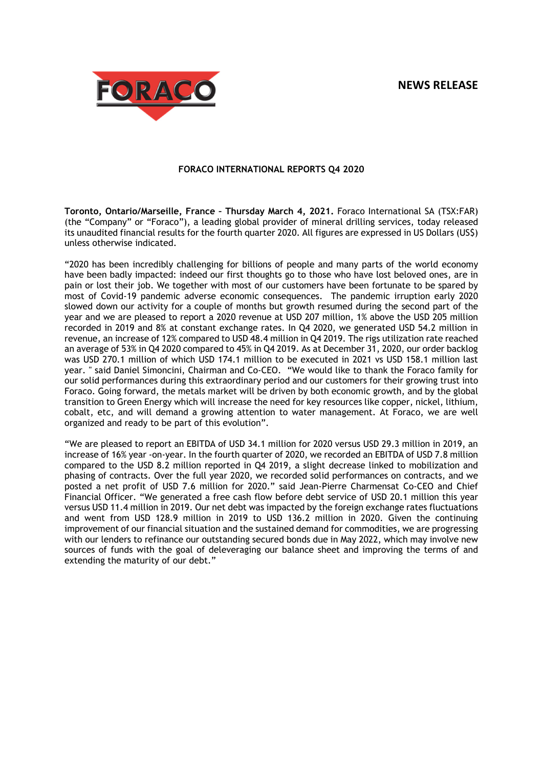# **NEWS RELEASE**



# **FORACO INTERNATIONAL REPORTS Q4 2020**

**Toronto, Ontario/Marseille, France – Thursday March 4, 2021.** Foraco International SA (TSX:FAR) (the "Company" or "Foraco"), a leading global provider of mineral drilling services, today released its unaudited financial results for the fourth quarter 2020. All figures are expressed in US Dollars (US\$) unless otherwise indicated.

"2020 has been incredibly challenging for billions of people and many parts of the world economy have been badly impacted: indeed our first thoughts go to those who have lost beloved ones, are in pain or lost their job. We together with most of our customers have been fortunate to be spared by most of Covid-19 pandemic adverse economic consequences. The pandemic irruption early 2020 slowed down our activity for a couple of months but growth resumed during the second part of the year and we are pleased to report a 2020 revenue at USD 207 million, 1% above the USD 205 million recorded in 2019 and 8% at constant exchange rates. In Q4 2020, we generated USD 54.2 million in revenue, an increase of 12% compared to USD 48.4 million in Q4 2019. The rigs utilization rate reached an average of 53% in Q4 2020 compared to 45% in Q4 2019. As at December 31, 2020, our order backlog was USD 270.1 million of which USD 174.1 million to be executed in 2021 vs USD 158.1 million last year. " said Daniel Simoncini, Chairman and Co-CEO. "We would like to thank the Foraco family for our solid performances during this extraordinary period and our customers for their growing trust into Foraco. Going forward, the metals market will be driven by both economic growth, and by the global transition to Green Energy which will increase the need for key resources like copper, nickel, lithium, cobalt, etc, and will demand a growing attention to water management. At Foraco, we are well organized and ready to be part of this evolution".

"We are pleased to report an EBITDA of USD 34.1 million for 2020 versus USD 29.3 million in 2019, an increase of 16% year -on-year. In the fourth quarter of 2020, we recorded an EBITDA of USD 7.8 million compared to the USD 8.2 million reported in Q4 2019, a slight decrease linked to mobilization and phasing of contracts. Over the full year 2020, we recorded solid performances on contracts, and we posted a net profit of USD 7.6 million for 2020." said Jean-Pierre Charmensat Co-CEO and Chief Financial Officer. "We generated a free cash flow before debt service of USD 20.1 million this year versus USD 11.4 million in 2019. Our net debt was impacted by the foreign exchange rates fluctuations and went from USD 128.9 million in 2019 to USD 136.2 million in 2020. Given the continuing improvement of our financial situation and the sustained demand for commodities, we are progressing with our lenders to refinance our outstanding secured bonds due in May 2022, which may involve new sources of funds with the goal of deleveraging our balance sheet and improving the terms of and extending the maturity of our debt."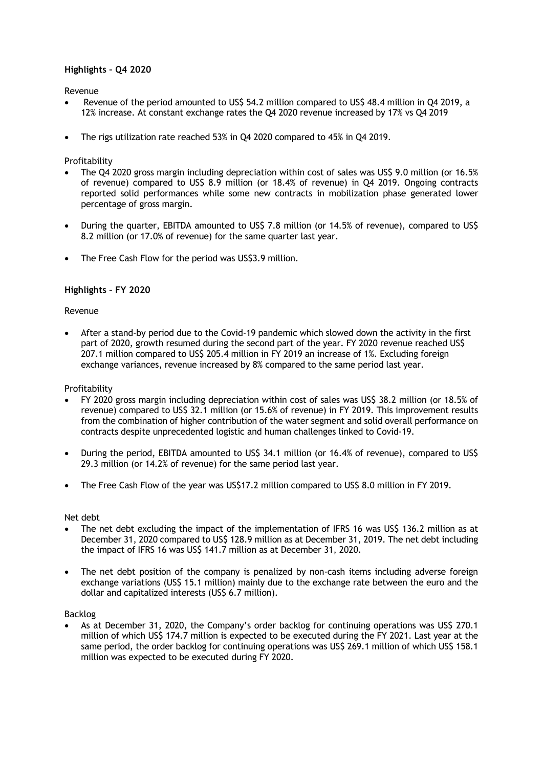# **Highlights – Q4 2020**

Revenue

- Revenue of the period amounted to US\$ 54.2 million compared to US\$ 48.4 million in Q4 2019, a 12% increase. At constant exchange rates the Q4 2020 revenue increased by 17% vs Q4 2019
- The rigs utilization rate reached 53% in Q4 2020 compared to 45% in Q4 2019.

# **Profitability**

- The Q4 2020 gross margin including depreciation within cost of sales was US\$ 9.0 million (or 16.5% of revenue) compared to US\$ 8.9 million (or 18.4% of revenue) in Q4 2019. Ongoing contracts reported solid performances while some new contracts in mobilization phase generated lower percentage of gross margin.
- During the quarter, EBITDA amounted to US\$ 7.8 million (or 14.5% of revenue), compared to US\$ 8.2 million (or 17.0% of revenue) for the same quarter last year.
- The Free Cash Flow for the period was US\$3.9 million.

# **Highlights – FY 2020**

## Revenue

 After a stand-by period due to the Covid-19 pandemic which slowed down the activity in the first part of 2020, growth resumed during the second part of the year. FY 2020 revenue reached US\$ 207.1 million compared to US\$ 205.4 million in FY 2019 an increase of 1%. Excluding foreign exchange variances, revenue increased by 8% compared to the same period last year.

## Profitability

- FY 2020 gross margin including depreciation within cost of sales was US\$ 38.2 million (or 18.5% of revenue) compared to US\$ 32.1 million (or 15.6% of revenue) in FY 2019. This improvement results from the combination of higher contribution of the water segment and solid overall performance on contracts despite unprecedented logistic and human challenges linked to Covid-19.
- During the period, EBITDA amounted to US\$ 34.1 million (or 16.4% of revenue), compared to US\$ 29.3 million (or 14.2% of revenue) for the same period last year.
- The Free Cash Flow of the year was US\$17.2 million compared to US\$ 8.0 million in FY 2019.

## Net debt

- The net debt excluding the impact of the implementation of IFRS 16 was US\$ 136.2 million as at December 31, 2020 compared to US\$ 128.9 million as at December 31, 2019. The net debt including the impact of IFRS 16 was US\$ 141.7 million as at December 31, 2020.
- The net debt position of the company is penalized by non-cash items including adverse foreign exchange variations (US\$ 15.1 million) mainly due to the exchange rate between the euro and the dollar and capitalized interests (US\$ 6.7 million).

## Backlog

 As at December 31, 2020, the Company's order backlog for continuing operations was US\$ 270.1 million of which US\$ 174.7 million is expected to be executed during the FY 2021. Last year at the same period, the order backlog for continuing operations was US\$ 269.1 million of which US\$ 158.1 million was expected to be executed during FY 2020.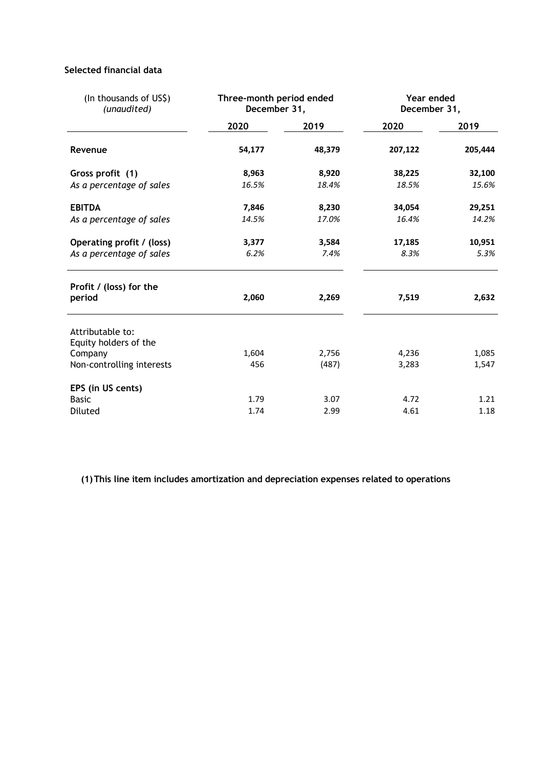# **Selected financial data**

| (In thousands of US\$)<br>(unaudited)     | Three-month period ended<br>December 31, |        | Year ended<br>December 31, |         |  |
|-------------------------------------------|------------------------------------------|--------|----------------------------|---------|--|
|                                           | 2020                                     | 2019   | 2020                       | 2019    |  |
| Revenue                                   | 54,177                                   | 48,379 | 207,122                    | 205,444 |  |
| Gross profit (1)                          | 8,963                                    | 8,920  | 38,225                     | 32,100  |  |
| As a percentage of sales                  | 16.5%                                    | 18.4%  | 18.5%                      | 15.6%   |  |
| <b>EBITDA</b>                             | 7,846                                    | 8,230  | 34,054                     | 29,251  |  |
| As a percentage of sales                  | 14.5%                                    | 17.0%  | 16.4%                      | 14.2%   |  |
| Operating profit / (loss)                 | 3,377                                    | 3,584  | 17,185                     | 10,951  |  |
| As a percentage of sales                  | 6.2%                                     | 7.4%   | 8.3%                       | 5.3%    |  |
| Profit / (loss) for the<br>period         | 2,060                                    | 2,269  | 7,519                      | 2,632   |  |
| Attributable to:<br>Equity holders of the |                                          |        |                            |         |  |
| Company                                   | 1,604                                    | 2,756  | 4,236                      | 1,085   |  |
| Non-controlling interests                 | 456                                      | (487)  | 3,283                      | 1,547   |  |
| EPS (in US cents)                         |                                          |        |                            |         |  |
| <b>Basic</b>                              | 1.79                                     | 3.07   | 4.72                       | 1.21    |  |
| Diluted                                   | 1.74                                     | 2.99   | 4.61                       | 1.18    |  |

**(1)This line item includes amortization and depreciation expenses related to operations**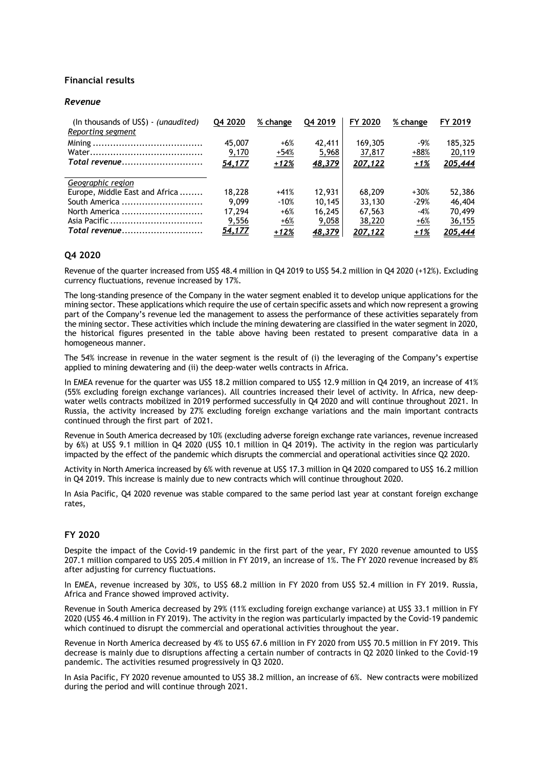## **Financial results**

#### *Revenue*

| (In thousands of US\$) - (unaudited)<br>Reporting segment | Q4 2020 | % change | Q4 2019 | FY 2020        | % change | FY 2019 |
|-----------------------------------------------------------|---------|----------|---------|----------------|----------|---------|
|                                                           | 45,007  | $+6%$    | 42,411  | 169,305        | $-9%$    | 185,325 |
|                                                           | 9,170   | $+54%$   | 5,968   | 37,817         | $+88%$   | 20,119  |
| Total revenue                                             | 54,177  | $+12%$   | 48,379  | 207,122        | $+1%$    | 205,444 |
| Geographic region                                         |         |          |         |                |          |         |
| Europe, Middle East and Africa                            | 18,228  | $+41%$   | 12,931  | 68,209         | $+30%$   | 52,386  |
| South America                                             | 9.099   | $-10%$   | 10.145  | 33,130         | $-29%$   | 46,404  |
| North America                                             | 17.294  | $+6%$    | 16,245  | 67,563         | $-4%$    | 70,499  |
|                                                           | 9,556   | $+6%$    | 9,058   | 38,220         | $+6%$    | 36,155  |
| Total revenue                                             | 54,177  | $+12%$   | 48,379  | <u>207,122</u> | $+1%$    | 205,444 |

# **Q4 2020**

Revenue of the quarter increased from US\$ 48.4 million in Q4 2019 to US\$ 54.2 million in Q4 2020 (+12%). Excluding currency fluctuations, revenue increased by 17%.

The long-standing presence of the Company in the water segment enabled it to develop unique applications for the mining sector. These applications which require the use of certain specific assets and which now represent a growing part of the Company's revenue led the management to assess the performance of these activities separately from the mining sector. These activities which include the mining dewatering are classified in the water segment in 2020, the historical figures presented in the table above having been restated to present comparative data in a homogeneous manner.

The 54% increase in revenue in the water segment is the result of (i) the leveraging of the Company's expertise applied to mining dewatering and (ii) the deep-water wells contracts in Africa.

In EMEA revenue for the quarter was US\$ 18.2 million compared to US\$ 12.9 million in Q4 2019, an increase of 41% (55% excluding foreign exchange variances). All countries increased their level of activity. In Africa, new deepwater wells contracts mobilized in 2019 performed successfully in Q4 2020 and will continue throughout 2021. In Russia, the activity increased by 27% excluding foreign exchange variations and the main important contracts continued through the first part of 2021.

Revenue in South America decreased by 10% (excluding adverse foreign exchange rate variances, revenue increased by 6%) at US\$ 9.1 million in Q4 2020 (US\$ 10.1 million in Q4 2019). The activity in the region was particularly impacted by the effect of the pandemic which disrupts the commercial and operational activities since Q2 2020.

Activity in North America increased by 6% with revenue at US\$ 17.3 million in Q4 2020 compared to US\$ 16.2 million in Q4 2019. This increase is mainly due to new contracts which will continue throughout 2020.

In Asia Pacific, Q4 2020 revenue was stable compared to the same period last year at constant foreign exchange rates,

## **FY 2020**

Despite the impact of the Covid-19 pandemic in the first part of the year, FY 2020 revenue amounted to US\$ 207.1 million compared to US\$ 205.4 million in FY 2019, an increase of 1%. The FY 2020 revenue increased by 8% after adjusting for currency fluctuations.

In EMEA, revenue increased by 30%, to US\$ 68.2 million in FY 2020 from US\$ 52.4 million in FY 2019. Russia, Africa and France showed improved activity.

Revenue in South America decreased by 29% (11% excluding foreign exchange variance) at US\$ 33.1 million in FY 2020 (US\$ 46.4 million in FY 2019). The activity in the region was particularly impacted by the Covid-19 pandemic which continued to disrupt the commercial and operational activities throughout the year.

Revenue in North America decreased by 4% to US\$ 67.6 million in FY 2020 from US\$ 70.5 million in FY 2019. This decrease is mainly due to disruptions affecting a certain number of contracts in Q2 2020 linked to the Covid-19 pandemic. The activities resumed progressively in Q3 2020.

In Asia Pacific, FY 2020 revenue amounted to US\$ 38.2 million, an increase of 6%. New contracts were mobilized during the period and will continue through 2021.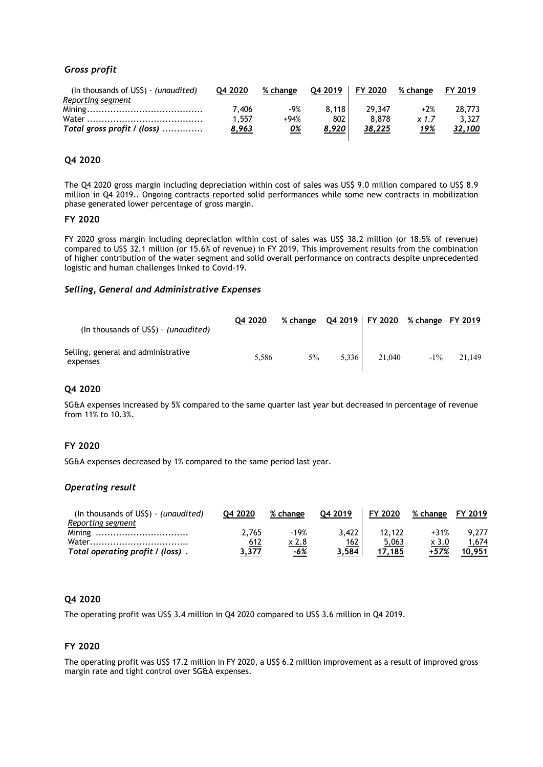# *Gross profit*

| (In thousands of US\$) - (unaudited) | 04 2020      | % change  | 04 2019 | FY 2020       | % change    | FY 2019 |
|--------------------------------------|--------------|-----------|---------|---------------|-------------|---------|
| Reporting segment                    |              |           |         |               |             |         |
|                                      | 7.406        | -9%       | 8.118   | 29.347        | $+2%$       | 28,773  |
|                                      | 1,557        | +94%      | 802     | 8,878         | x 1.7       | 3,327   |
| Total gross profit / (loss)          | <u>8,963</u> | <u>0%</u> | 8,920   | <u>38,225</u> | <u> 19%</u> | 32,100  |
|                                      |              |           |         |               |             |         |

# **Q4 2020**

The Q4 2020 gross margin including depreciation within cost of sales was US\$ 9.0 million compared to US\$ 8.9 million in Q4 2019.. Ongoing contracts reported solid performances while some new contracts in mobilization phase generated lower percentage of gross margin.

#### **FY 2020**

FY 2020 gross margin including depreciation within cost of sales was US\$ 38.2 million (or 18.5% of revenue) compared to US\$ 32.1 million (or 15.6% of revenue) in FY 2019. This improvement results from the combination of higher contribution of the water segment and solid overall performance on contracts despite unprecedented logistic and human challenges linked to Covid-19.

#### *Selling, General and Administrative Expenses*

| (In thousands of US\$) - (unaudited)            | 04 2020 | % change Q4 2019   FY 2020 |       |        | % change FY 2019 |        |
|-------------------------------------------------|---------|----------------------------|-------|--------|------------------|--------|
| Selling, general and administrative<br>expenses | 5.586   | 5%                         | 5.336 | 21,040 | $-1\%$           | 21.149 |

## **Q4 2020**

SG&A expenses increased by 5% compared to the same quarter last year but decreased in percentage of revenue from 11% to 10.3%.

## **FY 2020**

SG&A expenses decreased by 1% compared to the same period last year.

## *Operating result*

| (In thousands of $US\$ ) - (unaudited) | 04 2020 | % change   | 04 2019 | FY 2020 | % change     | FY 2019 |
|----------------------------------------|---------|------------|---------|---------|--------------|---------|
| Reporting segment                      |         |            |         |         |              |         |
|                                        | 2.765   | $-19%$     | 3.422   | 12,122  | $+31%$       | 9.277   |
|                                        | 612     | x 2.8      | 162     | 5,063   | $\times 3.0$ | 1.674   |
| Total operating profit / (loss).       | 3.377   | <u>-6%</u> | 3.584   | 17.185  | +57%         | 10.951  |

# **Q4 2020**

The operating profit was US\$ 3.4 million in Q4 2020 compared to US\$ 3.6 million in Q4 2019.

### **FY 2020**

The operating profit was US\$ 17.2 million in FY 2020, a US\$ 6.2 million improvement as a result of improved gross margin rate and tight control over SG&A expenses.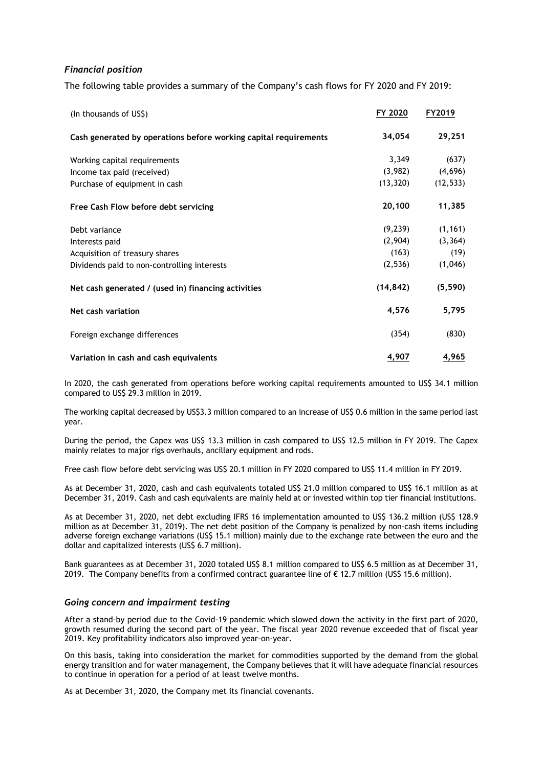# *Financial position*

The following table provides a summary of the Company's cash flows for FY 2020 and FY 2019:

| (In thousands of US\$)                                           | FY 2020   | FY2019    |
|------------------------------------------------------------------|-----------|-----------|
| Cash generated by operations before working capital requirements | 34,054    | 29,251    |
| Working capital requirements                                     | 3,349     | (637)     |
| Income tax paid (received)                                       | (3,982)   | (4,696)   |
| Purchase of equipment in cash                                    | (13, 320) | (12, 533) |
| Free Cash Flow before debt servicing                             | 20,100    | 11,385    |
| Debt variance                                                    | (9, 239)  | (1, 161)  |
| Interests paid                                                   | (2,904)   | (3, 364)  |
| Acquisition of treasury shares                                   | (163)     | (19)      |
| Dividends paid to non-controlling interests                      | (2,536)   | (1,046)   |
| Net cash generated / (used in) financing activities              | (14, 842) | (5, 590)  |
| Net cash variation                                               | 4,576     | 5,795     |
| Foreign exchange differences                                     | (354)     | (830)     |
| Variation in cash and cash equivalents                           | 4,907     | 4,965     |

In 2020, the cash generated from operations before working capital requirements amounted to US\$ 34.1 million compared to US\$ 29.3 million in 2019.

The working capital decreased by US\$3.3 million compared to an increase of US\$ 0.6 million in the same period last year.

During the period, the Capex was US\$ 13.3 million in cash compared to US\$ 12.5 million in FY 2019. The Capex mainly relates to major rigs overhauls, ancillary equipment and rods.

Free cash flow before debt servicing was US\$ 20.1 million in FY 2020 compared to US\$ 11.4 million in FY 2019.

As at December 31, 2020, cash and cash equivalents totaled US\$ 21.0 million compared to US\$ 16.1 million as at December 31, 2019. Cash and cash equivalents are mainly held at or invested within top tier financial institutions.

As at December 31, 2020, net debt excluding IFRS 16 implementation amounted to US\$ 136.2 million (US\$ 128.9 million as at December 31, 2019). The net debt position of the Company is penalized by non-cash items including adverse foreign exchange variations (US\$ 15.1 million) mainly due to the exchange rate between the euro and the dollar and capitalized interests (US\$ 6.7 million).

Bank guarantees as at December 31, 2020 totaled US\$ 8.1 million compared to US\$ 6.5 million as at December 31, 2019. The Company benefits from a confirmed contract guarantee line of  $\epsilon$  12.7 million (US\$ 15.6 million).

### *Going concern and impairment testing*

After a stand-by period due to the Covid-19 pandemic which slowed down the activity in the first part of 2020, growth resumed during the second part of the year. The fiscal year 2020 revenue exceeded that of fiscal year 2019. Key profitability indicators also improved year-on-year.

On this basis, taking into consideration the market for commodities supported by the demand from the global energy transition and for water management, the Company believes that it will have adequate financial resources to continue in operation for a period of at least twelve months.

As at December 31, 2020, the Company met its financial covenants.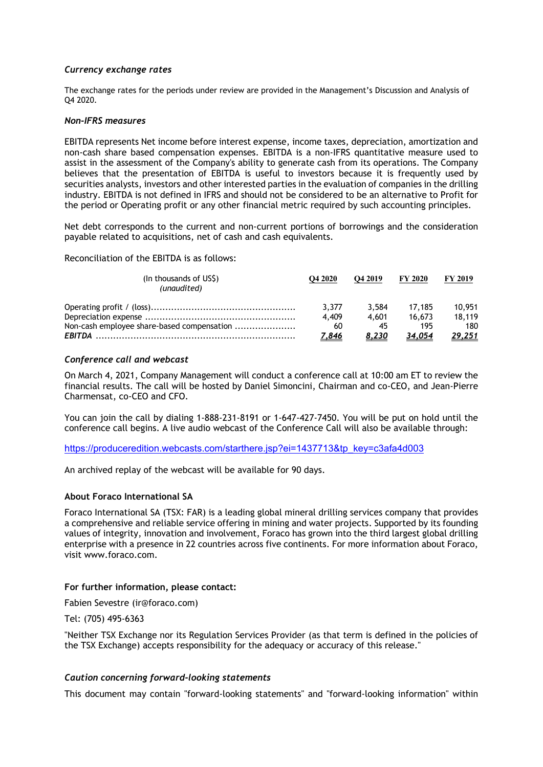# *Currency exchange rates*

The exchange rates for the periods under review are provided in the Management's Discussion and Analysis of Q4 2020.

### *Non-IFRS measures*

EBITDA represents Net income before interest expense, income taxes, depreciation, amortization and non-cash share based compensation expenses. EBITDA is a non-IFRS quantitative measure used to assist in the assessment of the Company's ability to generate cash from its operations. The Company believes that the presentation of EBITDA is useful to investors because it is frequently used by securities analysts, investors and other interested parties in the evaluation of companies in the drilling industry. EBITDA is not defined in IFRS and should not be considered to be an alternative to Profit for the period or Operating profit or any other financial metric required by such accounting principles.

Net debt corresponds to the current and non-current portions of borrowings and the consideration payable related to acquisitions, net of cash and cash equivalents.

Reconciliation of the EBITDA is as follows:

| (In thousands of US\$)<br>(unaudited)      | O <sub>4</sub> 2020 | O <sub>4</sub> 2019 | <b>FY 2020</b> | <b>FY 2019</b> |
|--------------------------------------------|---------------------|---------------------|----------------|----------------|
|                                            | 3.377               | 3.584               | 17.185         | 10.951         |
|                                            | 4.409               | 4.601               | 16.673         | 18.119         |
| Non-cash employee share-based compensation | 60                  | 45                  | 195            | 180            |
|                                            | <u>7,846</u>        | 8,230               | 34.054         | <u>29,251</u>  |

## *Conference call and webcast*

On March 4, 2021, Company Management will conduct a conference call at 10:00 am ET to review the financial results. The call will be hosted by Daniel Simoncini, Chairman and co-CEO, and Jean-Pierre Charmensat, co-CEO and CFO.

You can join the call by dialing 1-888-231-8191 or 1-647-427-7450. You will be put on hold until the conference call begins. A live audio webcast of the Conference Call will also be available through:

https://produceredition.webcasts.com/starthere.jsp?ei=1437713&tp\_key=c3afa4d003

An archived replay of the webcast will be available for 90 days.

# **About Foraco International SA**

Foraco International SA (TSX: FAR) is a leading global mineral drilling services company that provides a comprehensive and reliable service offering in mining and water projects. Supported by its founding values of integrity, innovation and involvement, Foraco has grown into the third largest global drilling enterprise with a presence in 22 countries across five continents. For more information about Foraco, visit www.foraco.com.

## **For further information, please contact:**

Fabien Sevestre (ir@foraco.com)

Tel: (705) 495-6363

"Neither TSX Exchange nor its Regulation Services Provider (as that term is defined in the policies of the TSX Exchange) accepts responsibility for the adequacy or accuracy of this release."

## *Caution concerning forward-looking statements*

This document may contain "forward-looking statements" and "forward-looking information" within